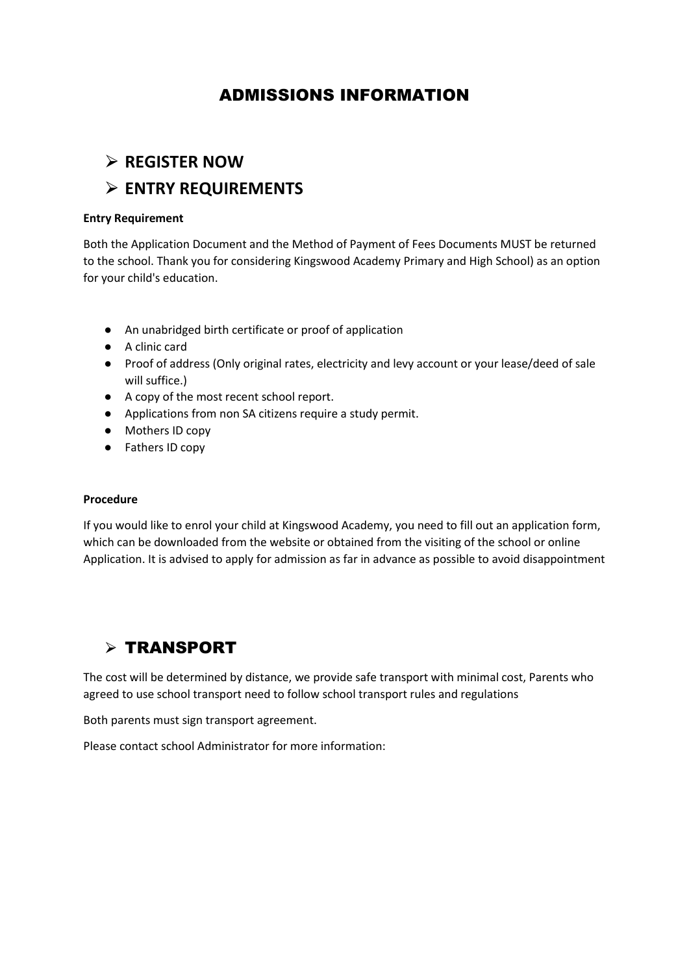## ADMISSIONS INFORMATION

# ⮚ **REGISTER NOW**  ⮚ **ENTRY REQUIREMENTS**

### **Entry Requirement**

Both the Application Document and the Method of Payment of Fees Documents MUST be returned to the school. Thank you for considering Kingswood Academy Primary and High School) as an option for your child's education.

- An unabridged birth certificate or proof of application
- A clinic card
- Proof of address (Only original rates, electricity and levy account or your lease/deed of sale will suffice.)
- A copy of the most recent school report.
- Applications from non SA citizens require a study permit.
- Mothers ID copy
- Fathers ID copy

#### **Procedure**

If you would like to enrol your child at Kingswood Academy, you need to fill out an application form, which can be downloaded from the website or obtained from the visiting of the school or online Application. It is advised to apply for admission as far in advance as possible to avoid disappointment

### ⮚ TRANSPORT

The cost will be determined by distance, we provide safe transport with minimal cost, Parents who agreed to use school transport need to follow school transport rules and regulations

Both parents must sign transport agreement.

Please contact school Administrator for more information: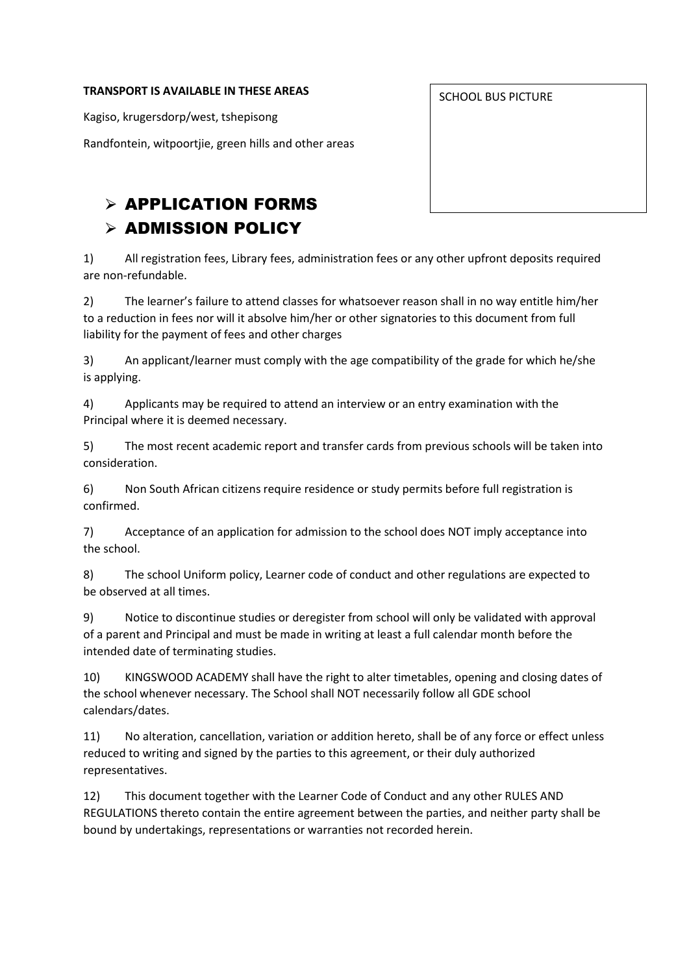#### **TRANSPORT IS AVAILABLE IN THESE AREAS**

Kagiso, krugersdorp/west, tshepisong

Randfontein, witpoortjie, green hills and other areas

## $\triangleright$  APPLICATION FORMS  $\triangleright$  ADMISSION POLICY

1) All registration fees, Library fees, administration fees or any other upfront deposits required are non-refundable.

2) The learner's failure to attend classes for whatsoever reason shall in no way entitle him/her to a reduction in fees nor will it absolve him/her or other signatories to this document from full liability for the payment of fees and other charges

3) An applicant/learner must comply with the age compatibility of the grade for which he/she is applying.

4) Applicants may be required to attend an interview or an entry examination with the Principal where it is deemed necessary.

5) The most recent academic report and transfer cards from previous schools will be taken into consideration.

6) Non South African citizens require residence or study permits before full registration is confirmed.

7) Acceptance of an application for admission to the school does NOT imply acceptance into the school.

8) The school Uniform policy, Learner code of conduct and other regulations are expected to be observed at all times.

9) Notice to discontinue studies or deregister from school will only be validated with approval of a parent and Principal and must be made in writing at least a full calendar month before the intended date of terminating studies.

10) KINGSWOOD ACADEMY shall have the right to alter timetables, opening and closing dates of the school whenever necessary. The School shall NOT necessarily follow all GDE school calendars/dates.

11) No alteration, cancellation, variation or addition hereto, shall be of any force or effect unless reduced to writing and signed by the parties to this agreement, or their duly authorized representatives.

12) This document together with the Learner Code of Conduct and any other RULES AND REGULATIONS thereto contain the entire agreement between the parties, and neither party shall be bound by undertakings, representations or warranties not recorded herein.

SCHOOL BUS PICTURE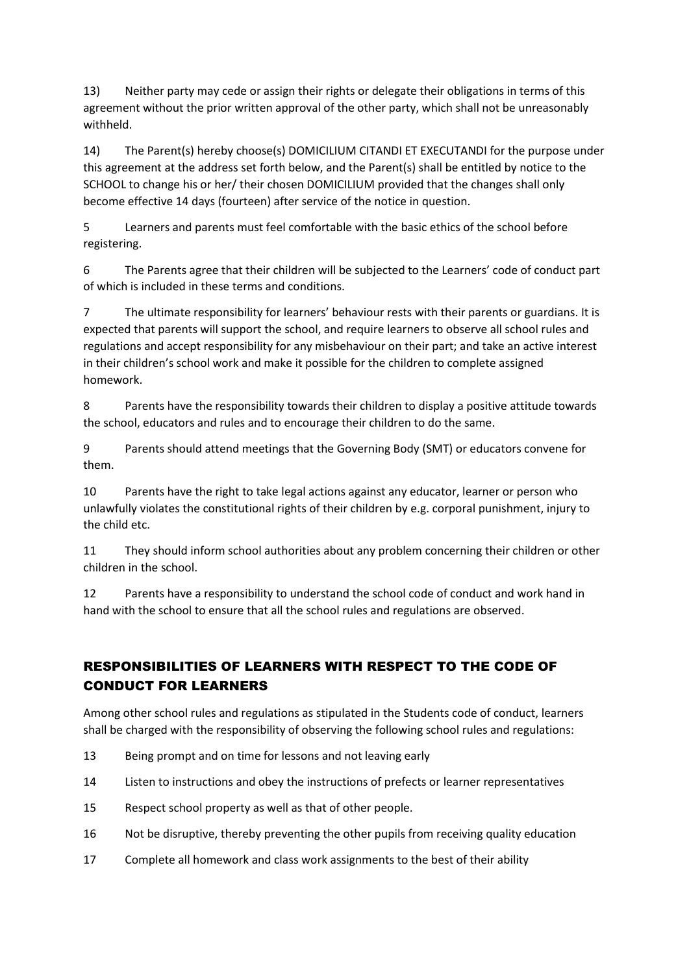13) Neither party may cede or assign their rights or delegate their obligations in terms of this agreement without the prior written approval of the other party, which shall not be unreasonably withheld.

14) The Parent(s) hereby choose(s) DOMICILIUM CITANDI ET EXECUTANDI for the purpose under this agreement at the address set forth below, and the Parent(s) shall be entitled by notice to the SCHOOL to change his or her/ their chosen DOMICILIUM provided that the changes shall only become effective 14 days (fourteen) after service of the notice in question.

5 Learners and parents must feel comfortable with the basic ethics of the school before registering.

6 The Parents agree that their children will be subjected to the Learners' code of conduct part of which is included in these terms and conditions.

7 The ultimate responsibility for learners' behaviour rests with their parents or guardians. It is expected that parents will support the school, and require learners to observe all school rules and regulations and accept responsibility for any misbehaviour on their part; and take an active interest in their children's school work and make it possible for the children to complete assigned homework.

8 Parents have the responsibility towards their children to display a positive attitude towards the school, educators and rules and to encourage their children to do the same.

9 Parents should attend meetings that the Governing Body (SMT) or educators convene for them.

10 Parents have the right to take legal actions against any educator, learner or person who unlawfully violates the constitutional rights of their children by e.g. corporal punishment, injury to the child etc.

11 They should inform school authorities about any problem concerning their children or other children in the school.

12 Parents have a responsibility to understand the school code of conduct and work hand in hand with the school to ensure that all the school rules and regulations are observed.

### RESPONSIBILITIES OF LEARNERS WITH RESPECT TO THE CODE OF CONDUCT FOR LEARNERS

Among other school rules and regulations as stipulated in the Students code of conduct, learners shall be charged with the responsibility of observing the following school rules and regulations:

- 13 Being prompt and on time for lessons and not leaving early
- 14 Listen to instructions and obey the instructions of prefects or learner representatives
- 15 Respect school property as well as that of other people.
- 16 Not be disruptive, thereby preventing the other pupils from receiving quality education
- 17 Complete all homework and class work assignments to the best of their ability